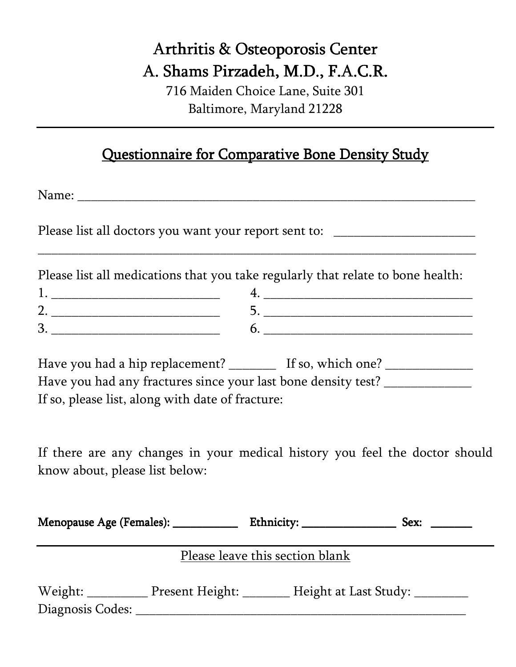## Arthritis & Osteoporosis Center A. Shams Pirzadeh, M.D., F.A.C.R.

716 Maiden Choice Lane, Suite 301 Baltimore, Maryland 21228

## Questionnaire for Comparative Bone Density Study

Name: 2008. 2010. 2010. 2010. 2010. 2010. 2010. 2011. 2012. 2013. 2014. 2016. 2017. 2017. 2017. 2017. 2017. 20

Please list all doctors you want your report sent to:

Please list all medications that you take regularly that relate to bone health:

\_\_\_\_\_\_\_\_\_\_\_\_\_\_\_\_\_\_\_\_\_\_\_\_\_\_\_\_\_\_\_\_\_\_\_\_\_\_\_\_\_\_\_\_\_\_\_\_\_\_\_\_\_\_\_\_\_\_\_\_\_\_\_\_\_

Have you had a hip replacement? \_\_\_\_\_\_\_\_\_ If so, which one? \_\_\_\_\_\_\_\_\_\_\_\_\_\_\_\_\_\_\_\_ Have you had any fractures since your last bone density test? \_\_\_\_\_\_\_\_\_\_\_\_\_\_\_\_\_\_ If so, please list, along with date of fracture:

If there are any changes in your medical history you feel the doctor should know about, please list below:

| Menopause Age (Females): ___________ |                                                                                 |                                               | Sex: |
|--------------------------------------|---------------------------------------------------------------------------------|-----------------------------------------------|------|
|                                      |                                                                                 | Please leave this section blank               |      |
| Diagnosis Codes:                     | the contract of the contract of the contract of the contract of the contract of | Weight: Present Height: Height at Last Study: |      |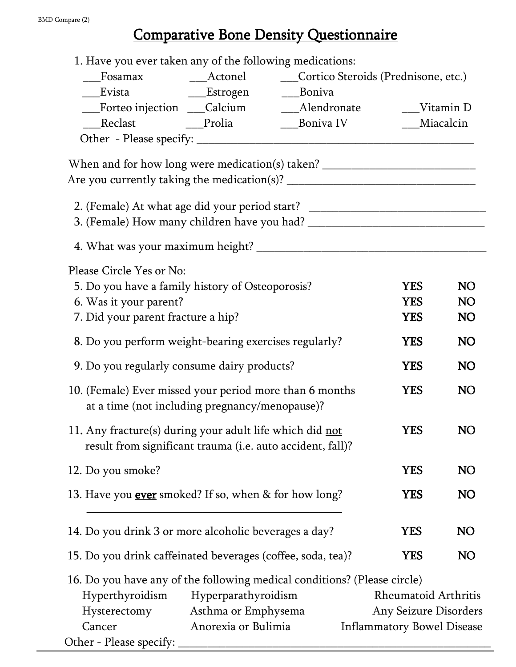## Comparative Bone Density Questionnaire

| __Evista                   __Estrogen          ___Boniva                                                  |                     |                                                                                  |                                   |           |  |
|-----------------------------------------------------------------------------------------------------------|---------------------|----------------------------------------------------------------------------------|-----------------------------------|-----------|--|
|                                                                                                           |                     |                                                                                  |                                   |           |  |
| ___Reclast ______Prolia                                                                                   |                     | ___Boniva IV                                                                     | __Miacalcin                       |           |  |
|                                                                                                           |                     |                                                                                  |                                   |           |  |
| When and for how long were medication(s) taken? ________________________________                          |                     |                                                                                  |                                   |           |  |
|                                                                                                           |                     |                                                                                  |                                   |           |  |
|                                                                                                           |                     | 2. (Female) At what age did your period start? _________________________________ |                                   |           |  |
|                                                                                                           |                     |                                                                                  |                                   |           |  |
|                                                                                                           |                     |                                                                                  |                                   |           |  |
| Please Circle Yes or No:                                                                                  |                     |                                                                                  |                                   |           |  |
| 5. Do you have a family history of Osteoporosis?                                                          |                     |                                                                                  | <b>YES</b>                        | <b>NO</b> |  |
| 6. Was it your parent?                                                                                    |                     |                                                                                  | <b>YES</b>                        | <b>NO</b> |  |
| 7. Did your parent fracture a hip?                                                                        |                     |                                                                                  | <b>YES</b>                        | <b>NO</b> |  |
| 8. Do you perform weight-bearing exercises regularly?                                                     |                     |                                                                                  | <b>YES</b>                        | <b>NO</b> |  |
| 9. Do you regularly consume dairy products?                                                               |                     |                                                                                  | <b>YES</b>                        | NO        |  |
| 10. (Female) Ever missed your period more than 6 months<br>at a time (not including pregnancy/menopause)? |                     |                                                                                  | <b>YES</b>                        | <b>NO</b> |  |
| 11. Any fracture(s) during your adult life which did not                                                  |                     |                                                                                  | <b>YES</b>                        | <b>NO</b> |  |
| result from significant trauma (i.e. auto accident, fall)?                                                |                     |                                                                                  |                                   |           |  |
| 12. Do you smoke?                                                                                         |                     |                                                                                  | YES                               | NO        |  |
| 13. Have you <b>ever</b> smoked? If so, when & for how long?                                              |                     |                                                                                  | <b>YES</b>                        | NO        |  |
| 14. Do you drink 3 or more alcoholic beverages a day?                                                     |                     |                                                                                  | <b>YES</b>                        | NO        |  |
| 15. Do you drink caffeinated beverages (coffee, soda, tea)?                                               |                     |                                                                                  | <b>YES</b>                        | <b>NO</b> |  |
| 16. Do you have any of the following medical conditions? (Please circle)                                  |                     |                                                                                  |                                   |           |  |
| Hyperthyroidism                                                                                           | Hyperparathyroidism |                                                                                  | Rheumatoid Arthritis              |           |  |
| Hysterectomy                                                                                              | Asthma or Emphysema |                                                                                  | Any Seizure Disorders             |           |  |
| Cancer                                                                                                    | Anorexia or Bulimia |                                                                                  | <b>Inflammatory Bowel Disease</b> |           |  |